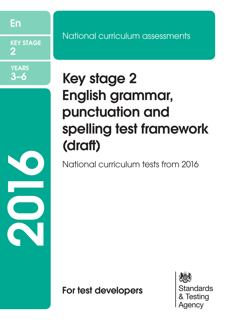En

KEY STAGE 2

**YEARS** 3–6

20<br>20<br>20

National curriculum assessments

# Key stage 2 English grammar, punctuation and spelling test framework (draft)

National curriculum tests from 2016

For test developers

**Standards** Testina Aaencv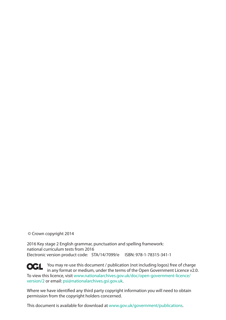© Crown copyright 2014

2016 Key stage 2 English grammar, punctuation and spelling framework: national curriculum tests from 2016 Electronic version product code: STA/14/7099/e ISBN: 978-1-78315-341-1

**OCL** You may re-use this document / publication (not including logos) free of charge in any format or medium, under the terms of the Open Government Licence v2.0. To view this licence, visit [www.nationalarchives.gov.uk/doc/open-government-licence/](www.nationalarchives.gov.uk/doc/open-government-licence/version/2) [version/2](www.nationalarchives.gov.uk/doc/open-government-licence/version/2) or email: psi@nationalarchives.gsi.gov.uk.

Where we have identified any third party copyright information you will need to obtain permission from the copyright holders concerned.

This document is available for download at www.gov.uk/government/publications.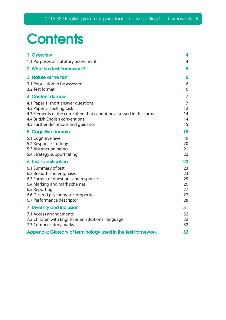# **Contents**

| 1. Overview                                                             | 4              |
|-------------------------------------------------------------------------|----------------|
| 1.1 Purposes of statutory assessment                                    | $\overline{4}$ |
| 2. What is a test framework?                                            | 5              |
| 3. Nature of the test                                                   | 6              |
| 3.1 Population to be assessed                                           | 6              |
| 3.2 Test format                                                         | 6              |
| 4. Content domain                                                       | 7              |
| 4.1 Paper 1: short answer questions                                     | $\overline{7}$ |
| 4.2 Paper 2: spelling task                                              | 12             |
| 4.3 Elements of the curriculum that cannot be assessed in this format   | 14             |
| 4.4 British English conventions<br>4.5 Further definitions and guidance | 14<br>15       |
|                                                                         |                |
| 5. Cognitive domain                                                     | 18             |
| 5.1 Cognitive level                                                     | 19             |
| 5.2 Response strategy<br>5.3 Abstraction rating                         | 20<br>21       |
| 5.4 Strategy support rating                                             | 22             |
| <b>6. Test specification</b>                                            | 23             |
| 6.1 Summary of test                                                     | 23             |
| 6.2 Breadth and emphasis                                                | 23             |
| 6.3 Format of questions and responses                                   | 25             |
| 6.4 Marking and mark schemes                                            | 26             |
| 6.5 Reporting                                                           | 27             |
| 6.6 Desired psychometric properties                                     | 27             |
| 6.7 Performance descriptor                                              | 28             |
| 7. Diversity and inclusion                                              | 31             |
| 7.1 Access arrangements                                                 | 32             |
| 7.2 Children with English as an additional language                     | 32             |
| 7.3 Compensatory marks                                                  | 32             |
| Appendix: Glossary of terminology used in the test framework            | 33             |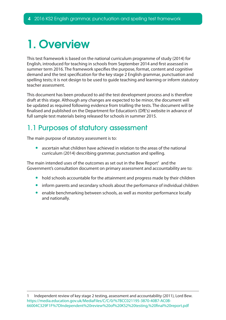# <span id="page-3-0"></span>1. Overview

This test framework is based on the national curriculum programme of study (2014) for English, introduced for teaching in schools from September 2014 and first assessed in summer term 2016. The framework specifies the purpose, format, content and cognitive demand and the test specification for the key stage 2 English grammar, punctuation and spelling tests; it is not design to be used to guide teaching and learning or inform statutory teacher assessment.

This document has been produced to aid the test development process and is therefore draft at this stage. Although any changes are expected to be minor, the document will be updated as required following evidence from trialling the tests. The document will be finalised and published on the Department for Education's (DfE's) website in advance of full sample test materials being released for schools in summer 2015.

## 1.1 Purposes of statutory assessment

The main purpose of statutory assessment is to:

ascertain what children have achieved in relation to the areas of the national curriculum (2014) describing grammar, punctuation and spelling.

The main intended uses of the outcomes as set out in the Bew Report<sup>1</sup> and the Government's consultation document on primary assessment and accountability are to:

- hold schools accountable for the attainment and progress made by their children
- inform parents and secondary schools about the performance of individual children
- enable benchmarking between schools, as well as monitor performance locally and nationally.

<sup>1</sup> Independent review of key stage 2 testing, assessment and accountability (2011), Lord Bew. https://media.education.gov.uk/MediaFiles/C/C/0/%7BCC021195-3870-40B7-AC0B-66004C329F1F%7DIndependent%20review%20of%20KS2%20testing,%20final%20report.pdf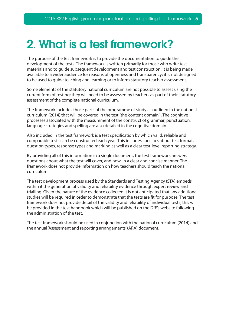## <span id="page-4-0"></span>2. What is a test framework?

The purpose of the test framework is to provide the documentation to guide the development of the tests. The framework is written primarily for those who write test materials and to guide subsequent development and test construction. It is being made available to a wider audience for reasons of openness and transparency; it is not designed to be used to guide teaching and learning or to inform statutory teacher assessment.

Some elements of the statutory national curriculum are not possible to assess using the current form of testing; they will need to be assessed by teachers as part of their statutory assessment of the complete national curriculum.

The framework includes those parts of the programme of study as outlined in the national curriculum (2014) that will be covered in the test (the 'content domain'). The cognitive processes associated with the measurement of the construct of grammar, punctuation, language strategies and spelling are also detailed in the cognitive domain.

Also included in the test framework is a test specification by which valid, reliable and comparable tests can be constructed each year. This includes specifics about test format, question types, response types and marking as well as a clear test-level reporting strategy.

By providing all of this information in a single document, the test framework answers questions about what the test will cover, and how, in a clear and concise manner. The framework does not provide information on how teachers should teach the national curriculum.

The test development process used by the Standards and Testing Agency (STA) embeds within it the generation of validity and reliability evidence through expert review and trialling. Given the nature of the evidence collected it is not anticipated that any additional studies will be required in order to demonstrate that the tests are fit for purpose. The test framework does not provide detail of the validity and reliability of individual tests; this will be provided in the test handbook which will be published on the DfE's website following the administration of the test.

The test framework should be used in conjunction with the national curriculum (2014) and the annual 'Assessment and reporting arrangements' (ARA) document.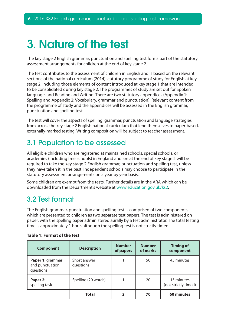# <span id="page-5-0"></span>3. Nature of the test

The key stage 2 English grammar, punctuation and spelling test forms part of the statutory assessment arrangements for children at the end of key stage 2.

The test contributes to the assessment of children in English and is based on the relevant sections of the national curriculum (2014) statutory programme of study for English at key stage 2, including those elements of content introduced at key stage 1 that are intended to be consolidated during key stage 2. The programmes of study are set out for Spoken language, and Reading and Writing. There are two statutory appendices (Appendix 1: Spelling and Appendix 2: Vocabulary, grammar and punctuation). Relevant content from the programme of study and the appendices will be assessed in the English grammar, punctuation and spelling test.

The test will cover the aspects of spelling, grammar, punctuation and language strategies from across the key stage 2 English national curriculum that lend themselves to paper-based, externally-marked testing. Writing composition will be subject to teacher assessment.

## 3.1 Population to be assessed

All eligible children who are registered at maintained schools, special schools, or academies (including free schools) in England and are at the end of key stage 2 will be required to take the key stage 2 English grammar, punctuation and spelling test, unless they have taken it in the past. Independent schools may choose to participate in the statutory assessment arrangements on a year by year basis.

Some children are exempt from the tests. Further details are in the ARA which can be downloaded from the Department's website at www.education.gov.uk/ks2.

### 3.2 Test format

The English grammar, punctuation and spelling test is comprised of two components, which are presented to children as two separate test papers. The test is administered on paper, with the spelling paper administered aurally by a test administrator. The total testing time is approximately 1 hour, although the spelling test is not strictly timed.

| <b>Component</b>                                  | <b>Description</b>        | <b>Number</b><br>of papers | <b>Number</b><br>of marks | <b>Timing of</b><br>component      |
|---------------------------------------------------|---------------------------|----------------------------|---------------------------|------------------------------------|
| Paper 1: grammar<br>and punctuation:<br>questions | Short answer<br>questions |                            | 50                        | 45 minutes                         |
| Paper 2:<br>spelling task                         | Spelling (20 words)       |                            | 20                        | 15 minutes<br>(not strictly timed) |
|                                                   | <b>Total</b>              | 2                          | 70                        | 60 minutes                         |

#### **Table 1: Format of the test**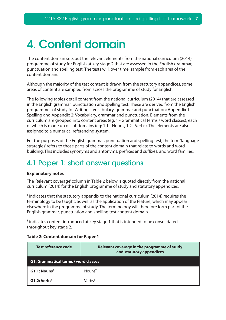# <span id="page-6-0"></span>4. Content domain

The content domain sets out the relevant elements from the national curriculum (2014) programme of study for English at key stage 2 that are assessed in the English grammar, punctuation and spelling test. The tests will, over time, sample from each area of the content domain.

Although the majority of the test content is drawn from the statutory appendices, some areas of content are sampled from across the programme of study for English.

The following tables detail content from the national curriculum (2014) that are assessed in the English grammar, punctuation and spelling test. These are derived from the English programmes of study for Writing – vocabulary, grammar and punctuation; Appendix 1: Spelling and Appendix 2: Vocabulary, grammar and punctuation. Elements from the curriculum are grouped into content areas (eg: 1 - Grammatical terms / word classes), each of which is made up of subdomains (eg: 1.1 - Nouns, 1.2 - Verbs). The elements are also assigned to a numerical referencing system.

For the purposes of the English grammar, punctuation and spelling test, the term 'language strategies' refers to those parts of the content domain that relate to words and wordbuilding. This includes synonyms and antonyms, prefixes and suffixes, and word families.

## 4.1 Paper 1: short answer questions

#### **Explanatory notes**

The 'Relevant coverage' column in Table 2 below is quoted directly from the national curriculum (2014) for the English programme of study and statutory appendices.

 $\texttt{T}$  indicates that the statutory appendix to the national curriculum (2014) requires the terminology to be taught, as well as the application of the feature, which may appear elsewhere in the programme of study. The terminology will therefore form part of the English grammar, punctuation and spelling test content domain.

<sup>s</sup> indicates content introduced at key stage 1 that is intended to be consolidated throughout key stage 2.

| Test reference code                         | Relevant coverage in the programme of study<br>and statutory appendices |  |  |
|---------------------------------------------|-------------------------------------------------------------------------|--|--|
| <b>G1: Grammatical terms / word classes</b> |                                                                         |  |  |
| $G1.1:$ Nouns <sup>S</sup>                  | $N$ ouns <sup>T</sup>                                                   |  |  |
| G1.2: Verbs <sup>S</sup>                    | Verbs <sup>T</sup>                                                      |  |  |

#### **Table 2: Content domain for Paper 1**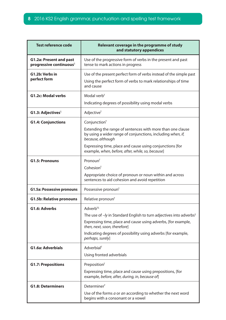| <b>Test reference code</b>                                            | Relevant coverage in the programme of study<br>and statutory appendices                                                                                                                                                                                                                       |  |
|-----------------------------------------------------------------------|-----------------------------------------------------------------------------------------------------------------------------------------------------------------------------------------------------------------------------------------------------------------------------------------------|--|
| <b>G1.2a: Present and past</b><br>progressive continuous <sup>5</sup> | Use of the progressive form of verbs in the present and past<br>tense to mark actions in progress                                                                                                                                                                                             |  |
| G1.2b: Verbs in<br>perfect form                                       | Use of the present perfect form of verbs instead of the simple past<br>Using the perfect form of verbs to mark relationships of time<br>and cause                                                                                                                                             |  |
| <b>G1.2c: Modal verbs</b>                                             | Modal verb <sup>T</sup><br>Indicating degrees of possibility using modal verbs                                                                                                                                                                                                                |  |
| G1.3: Adjectives $S$                                                  | Adjective <sup>T</sup>                                                                                                                                                                                                                                                                        |  |
| <b>G1.4: Conjunctions</b>                                             | Conjunction <sup>T</sup><br>Extending the range of sentences with more than one clause<br>by using a wider range of conjunctions, including when, if,<br>because, although<br>Expressing time, place and cause using conjunctions [for                                                        |  |
|                                                                       | example, when, before, after, while, so, because]                                                                                                                                                                                                                                             |  |
| <b>G1.5: Pronouns</b>                                                 | Pronoun <sup>T</sup><br>Cohesion <sup>T</sup><br>Appropriate choice of pronoun or noun within and across<br>sentences to aid cohesion and avoid repetition                                                                                                                                    |  |
| <b>G1.5a: Possessive pronouns</b>                                     | Possessive pronoun <sup>T</sup>                                                                                                                                                                                                                                                               |  |
| <b>G1.5b: Relative pronouns</b>                                       | Relative pronoun <sup>T</sup>                                                                                                                                                                                                                                                                 |  |
| G1.6: Adverbs                                                         | Adverb <sup>TS</sup><br>The use of -/y in Standard English to turn adjectives into adverbs <sup>5</sup><br>Expressing time, place and cause using adverbs, [for example,<br>then, next, soon, therefore]<br>Indicating degrees of possibility using adverbs [for example,<br>perhaps, surely] |  |
| <b>G1.6a: Adverbials</b>                                              | Adverbial <sup>T</sup><br>Using fronted adverbials                                                                                                                                                                                                                                            |  |
| <b>G1.7: Prepositions</b>                                             | Preposition <sup>T</sup><br>Expressing time, place and cause using prepositions, [for<br>example, before, after, during, in, because of]                                                                                                                                                      |  |
| <b>G1.8: Determiners</b>                                              | Determiner <sup>T</sup><br>Use of the forms a or an according to whether the next word<br>begins with a consonant or a vowel                                                                                                                                                                  |  |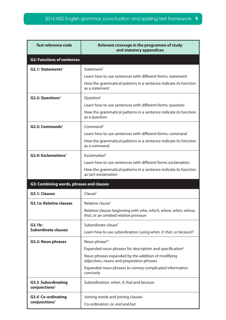| <b>Test reference code</b>                             | Relevant coverage in the programme of study<br>and statutory appendices                                 |  |
|--------------------------------------------------------|---------------------------------------------------------------------------------------------------------|--|
| <b>G2: Functions of sentences</b>                      |                                                                                                         |  |
| $G2.1: StatementsS$                                    | Statement <sup>T</sup>                                                                                  |  |
|                                                        | Learn how to use sentences with different forms: statement                                              |  |
|                                                        | How the grammatical patterns in a sentence indicate its function<br>as a statement                      |  |
| <b>G2.2: Questions</b> <sup>S</sup>                    | Question <sup>T</sup>                                                                                   |  |
|                                                        | Learn how to use sentences with different forms: question                                               |  |
|                                                        | How the grammatical patterns in a sentence indicate its function<br>as a question                       |  |
| $G2.3: CommandsS$                                      | Command <sup>T</sup>                                                                                    |  |
|                                                        | Learn how to use sentences with different forms: command                                                |  |
|                                                        | How the grammatical patterns in a sentence indicate its function<br>as a command                        |  |
| $G2.4$ : Exclamations <sup>5</sup>                     | Exclamation <sup>T</sup>                                                                                |  |
|                                                        | Learn how to use sentences with different forms exclamation                                             |  |
|                                                        | How the grammatical patterns in a sentence indicate its function<br>as (an) exclamation                 |  |
| G3: Combining words, phrases and clauses               |                                                                                                         |  |
| <b>G3.1: Clauses</b>                                   | Clause <sup>T</sup>                                                                                     |  |
| <b>G3.1a: Relative clauses</b>                         | Relative clause <sup>T</sup>                                                                            |  |
|                                                        | Relative clauses beginning with who, which, where, when, whose,<br>that, or an omitted relative pronoun |  |
| G3.1b:                                                 | Subordinate clause <sup>T</sup>                                                                         |  |
| <b>Subordinate clauses</b>                             | Learn how to use subordination (using when, if, that, or because) <sup>5</sup>                          |  |
| <b>G3.2: Noun phrases</b>                              | Noun phrase <sup>TS</sup>                                                                               |  |
|                                                        | Expanded noun phrases for description and specification <sup>5</sup>                                    |  |
|                                                        | Noun phrases expanded by the addition of modifying<br>adjectives, nouns and preposition phrases         |  |
|                                                        | Expanded noun phrases to convey complicated information<br>concisely                                    |  |
| <b>G3.3 Subordinating</b><br>conjunctions <sup>S</sup> | Subordination: when, if, that and because                                                               |  |
| <b>G3.4 Co-ordinating</b>                              | Joining words and joining clauses                                                                       |  |
| conjunctions <sup>S</sup>                              | Co-ordination: or, and and but                                                                          |  |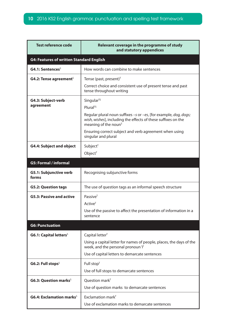| <b>Test reference code</b>                               | Relevant coverage in the programme of study<br>and statutory appendices                                                                                                      |  |
|----------------------------------------------------------|------------------------------------------------------------------------------------------------------------------------------------------------------------------------------|--|
| <b>G4: Features of written Standard English</b>          |                                                                                                                                                                              |  |
| $G4.1$ : Sentences <sup>s</sup>                          | How words can combine to make sentences                                                                                                                                      |  |
| G4.2: Tense agreement <sup>s</sup>                       | Tense (past, present) $T$                                                                                                                                                    |  |
|                                                          | Correct choice and consistent use of present tense and past<br>tense throughout writing                                                                                      |  |
| G4.3: Subject-verb<br>agreement                          | Singular <sup>TS</sup><br><b>Plural<sup>TS</sup></b>                                                                                                                         |  |
|                                                          | Regular plural noun suffixes -s or -es, [for example, <i>dog, dogs;</i><br>wish, wishes], including the effects of these suffixes on the<br>meaning of the noun <sup>s</sup> |  |
|                                                          | Ensuring correct subject and verb agreement when using<br>singular and plural                                                                                                |  |
| <b>G4.4: Subject and object</b>                          | Subject <sup>T</sup><br>Object <sup>T</sup>                                                                                                                                  |  |
| <b>G5: Formal / informal</b>                             |                                                                                                                                                                              |  |
| <b>G5.1: Subjunctive verb</b><br>forms                   | Recognising subjunctive forms                                                                                                                                                |  |
| <b>G5.2: Question tags</b>                               | The use of question tags as an informal speech structure                                                                                                                     |  |
| <b>G5.3: Passive and active</b>                          | Passive <sup>T</sup>                                                                                                                                                         |  |
|                                                          | Active <sup>T</sup>                                                                                                                                                          |  |
|                                                          | Use of the passive to affect the presentation of information in a<br>sentence                                                                                                |  |
| <b>G6: Punctuation</b>                                   |                                                                                                                                                                              |  |
| <b>G6.1: Capital letters</b> <sup>S</sup>                | Capital letter <sup>T</sup>                                                                                                                                                  |  |
|                                                          | Using a capital letter for names of people, places, the days of the<br>week, and the personal pronoun'l'                                                                     |  |
|                                                          | Use of capital letters to demarcate sentences                                                                                                                                |  |
| G6.2: Full stops <sup>5</sup>                            | Full stop <sup>T</sup>                                                                                                                                                       |  |
|                                                          | Use of full stops to demarcate sentences                                                                                                                                     |  |
| <b>G6.3: Question marks</b> <sup>S</sup>                 | Question mark <sup>T</sup>                                                                                                                                                   |  |
|                                                          | Use of question marks to demarcate sentences                                                                                                                                 |  |
| <b>G6.4: Exclamation marks</b> <sup><math>S</math></sup> | Exclamation mark $T$                                                                                                                                                         |  |
|                                                          | Use of exclamation marks to demarcate sentences                                                                                                                              |  |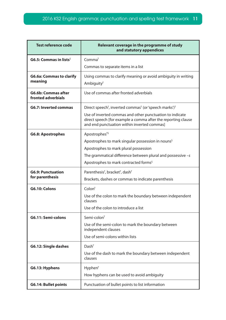| <b>Test reference code</b>                       | Relevant coverage in the programme of study<br>and statutory appendices                                                                                                  |  |  |
|--------------------------------------------------|--------------------------------------------------------------------------------------------------------------------------------------------------------------------------|--|--|
| $G6.5$ : Commas in lists <sup>S</sup>            | Comma <sup>T</sup>                                                                                                                                                       |  |  |
|                                                  | Commas to separate items in a list                                                                                                                                       |  |  |
| <b>G6.6a: Commas to clarify</b><br>meaning       | Using commas to clarify meaning or avoid ambiguity in writing<br>Ambiguity <sup>T</sup>                                                                                  |  |  |
| <b>G6.6b: Commas after</b><br>fronted adverbials | Use of commas after fronted adverbials                                                                                                                                   |  |  |
| <b>G6.7: Inverted commas</b>                     | Direct speech <sup>T</sup> , inverted commas <sup>T</sup> (or 'speech marks') <sup>T</sup>                                                                               |  |  |
|                                                  | Use of inverted commas and other punctuation to indicate<br>direct speech [for example a comma after the reporting clause<br>and end punctuation within inverted commas] |  |  |
| <b>G6.8: Apostrophes</b>                         | Apostrophes <sup>TS</sup>                                                                                                                                                |  |  |
|                                                  | Apostrophes to mark singular possession in nouns <sup>5</sup>                                                                                                            |  |  |
|                                                  | Apostrophes to mark plural possession                                                                                                                                    |  |  |
|                                                  | The grammatical difference between plural and possessive $-s$                                                                                                            |  |  |
|                                                  | Apostrophes to mark contracted forms <sup>5</sup>                                                                                                                        |  |  |
| <b>G6.9: Punctuation</b>                         | Parenthesis <sup>T</sup> , bracket <sup>T</sup> , dash <sup>T</sup>                                                                                                      |  |  |
| for parenthesis                                  | Brackets, dashes or commas to indicate parenthesis                                                                                                                       |  |  |
| G6.10: Colons                                    | Color <sup>T</sup>                                                                                                                                                       |  |  |
|                                                  | Use of the colon to mark the boundary between independent<br>clauses                                                                                                     |  |  |
|                                                  | Use of the colon to introduce a list                                                                                                                                     |  |  |
| G6.11: Semi-colons                               | Semi-colon <sup>T</sup>                                                                                                                                                  |  |  |
|                                                  | Use of the semi-colon to mark the boundary between<br>independent clauses                                                                                                |  |  |
|                                                  | Use of semi-colons within lists                                                                                                                                          |  |  |
| G6.12: Single dashes                             | Dash <sup>T</sup>                                                                                                                                                        |  |  |
|                                                  | Use of the dash to mark the boundary between independent<br>clauses                                                                                                      |  |  |
| G6.13: Hyphens                                   | Hyphen <sup>T</sup>                                                                                                                                                      |  |  |
|                                                  | How hyphens can be used to avoid ambiguity                                                                                                                               |  |  |
| <b>G6.14: Bullet points</b>                      | Punctuation of bullet points to list information                                                                                                                         |  |  |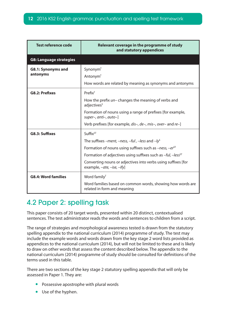<span id="page-11-0"></span>

| <b>Test reference code</b>     | Relevant coverage in the programme of study<br>and statutory appendices                                                                                                                                                                                                                                                                                        |
|--------------------------------|----------------------------------------------------------------------------------------------------------------------------------------------------------------------------------------------------------------------------------------------------------------------------------------------------------------------------------------------------------------|
| <b>G8: Language strategies</b> |                                                                                                                                                                                                                                                                                                                                                                |
| G8.1: Synonyms and<br>antonyms | Synonym <sup>T</sup><br>Antonym <sup>T</sup><br>How words are related by meaning as synonyms and antonyms                                                                                                                                                                                                                                                      |
| G8.2: Prefixes                 | $Prefix^T$<br>How the prefix un- changes the meaning of verbs and<br>adjectives <sup>s</sup><br>Formation of nouns using a range of prefixes [for example,<br>super-, anti-, auto-]<br>Verb prefixes [for example, dis-, de-, mis-, over- and re-]                                                                                                             |
| G8.3: Suffixes                 | $Suffix^{ST}$<br>The suffixes –ment, –ness, –ful, –less and –ly <sup>s</sup><br>Formation of nouns using suffixes such as $-ness$ , $-er^{ST}$<br>Formation of adjectives using suffixes such as $-ful$ , $-less$ <sup>ST</sup><br>Converting nouns or adjectives into verbs using suffixes [for<br>example, $-\alpha t e$ , $-i \epsilon$ , $-i \epsilon y$ ] |
| <b>G8.4: Word families</b>     | Word family <sup>T</sup><br>Word families based on common words, showing how words are<br>related in form and meaning                                                                                                                                                                                                                                          |

## 4.2 Paper 2: spelling task

This paper consists of 20 target words, presented within 20 distinct, contextualised sentences. The test administrator reads the words and sentences to children from a script.

The range of strategies and morphological awareness tested is drawn from the statutory spelling appendix to the national curriculum (2014) programme of study. The test may include the example words and words drawn from the key stage 2 word lists provided as appendices to the national curriculum (2014), but will not be limited to these and is likely to draw on other words that assess the content described below. The appendix to the national curriculum (2014) programme of study should be consulted for definitions of the terms used in this table.

There are two sections of the key stage 2 statutory spelling appendix that will only be assessed in Paper 1. They are:

- Possessive apostrophe with plural words
- Use of the hyphen.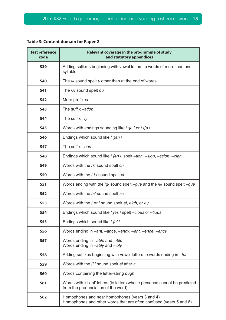#### **Table 3: Content domain for Paper 2**

| <b>Test reference</b><br>code | Relevant coverage in the programme of study<br>and statutory appendices                                              |  |
|-------------------------------|----------------------------------------------------------------------------------------------------------------------|--|
| <b>S39</b>                    | Adding suffixes beginning with vowel letters to words of more than one<br>syllable                                   |  |
| <b>S40</b>                    | The /i/ sound spelt y other than at the end of words                                                                 |  |
| <b>S41</b>                    | The / N sound spelt ou                                                                                               |  |
| <b>S42</b>                    | More prefixes                                                                                                        |  |
| <b>S43</b>                    | The suffix -ation                                                                                                    |  |
| <b>S44</b>                    | The suffix $-ly$                                                                                                     |  |
| <b>S45</b>                    | Words with endings sounding like / 30 / or / tfo /                                                                   |  |
| <b>S46</b>                    | Endings which sound like / 3an /                                                                                     |  |
| <b>S47</b>                    | The suffix -ous                                                                                                      |  |
| <b>S48</b>                    | Endings which sound like / fan /, spelt -tion, -sion, -ssion, -cian                                                  |  |
| <b>S49</b>                    | Words with the /k/ sound spelt ch                                                                                    |  |
| <b>S50</b>                    | Words with the $/f/$ sound spelt ch                                                                                  |  |
| <b>S51</b>                    | Words ending with the $/g/$ sound spelt $-gue$ and the $/k/$ sound spelt $-gue$                                      |  |
| <b>S52</b>                    | Words with the /s/ sound spelt sc                                                                                    |  |
| <b>S53</b>                    | Words with the / et / sound spelt ei, eigh, or ey                                                                    |  |
| <b>S54</b>                    | Endings which sound like / fas / spelt -cious or -tious                                                              |  |
| <b>S55</b>                    | Endings which sound like / fall                                                                                      |  |
| <b>S56</b>                    | Words ending in -ant, -ance, -ancy, -ent, -ence, -ency                                                               |  |
| <b>S57</b>                    | Words ending in -able and -ible<br>Words ending in -ably and -ibly                                                   |  |
| <b>S58</b>                    | Adding suffixes beginning with vowel letters to words ending in -fer                                                 |  |
| <b>S59</b>                    | Words with the /i:/ sound spelt ei after c                                                                           |  |
| <b>S60</b>                    | Words containing the letter-string ough                                                                              |  |
| <b>S61</b>                    | Words with 'silent' letters (ie letters whose presence cannot be predicted<br>from the pronunciation of the word)    |  |
| <b>S62</b>                    | Homophones and near homophones (years 3 and 4)<br>Homophones and other words that are often confused (years 5 and 6) |  |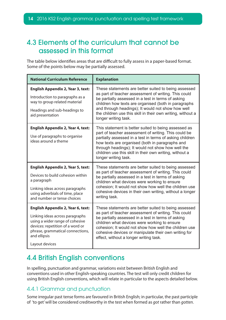## <span id="page-13-0"></span>4.3 Elements of the curriculum that cannot be assessed in this format

The table below identifies areas that are difficult to fully assess in a paper-based format. Some of the points below may be partially assessed.

| <b>National Curriculum Reference</b>                                                                                                                                                                                     | <b>Explanation</b>                                                                                                                                                                                                                                                                                                                                                            |
|--------------------------------------------------------------------------------------------------------------------------------------------------------------------------------------------------------------------------|-------------------------------------------------------------------------------------------------------------------------------------------------------------------------------------------------------------------------------------------------------------------------------------------------------------------------------------------------------------------------------|
| <b>English Appendix 2, Year 3, text:</b><br>Introduction to paragraphs as a<br>way to group related material<br>Headings and sub-headings to<br>aid presentation                                                         | These statements are better suited to being assessed<br>as part of teacher assessment of writing. This could<br>be partially assessed in a test in terms of asking<br>children how texts are organised (both in paragraphs<br>and through headings); It would not show how well<br>the children use this skill in their own writing, without a<br>longer writing task.        |
| <b>English Appendix 2, Year 4, text:</b><br>Use of paragraphs to organise<br>ideas around a theme                                                                                                                        | This statement is better suited to being assessed as<br>part of teacher assessment of writing. This could be<br>partially assessed in a test in terms of asking children<br>how texts are organised (both in paragraphs and<br>through headings); It would not show how well the<br>children use this skill in their own writing, without a<br>longer writing task.           |
| <b>English Appendix 2, Year 5, text:</b><br>Devices to build cohesion within<br>a paragraph<br>Linking ideas across paragraphs<br>using adverbials of time, place<br>and number or tense choices                         | These statements are better suited to being assessed<br>as part of teacher assessment of writing. This could<br>be partially assessed in a test in terms of asking<br>children what devices were working to ensure<br>cohesion; It would not show how well the children use<br>cohesive devices in their own writing, without a longer<br>writing task.                       |
| <b>English Appendix 2, Year 6, text:</b><br>Linking ideas across paragraphs<br>using a wider range of cohesive<br>devices: repetition of a word or<br>phrase, grammatical connections,<br>and ellipsis<br>Layout devices | These statements are better suited to being assessed<br>as part of teacher assessment of writing. This could<br>be partially assessed in a test in terms of asking<br>children what devices were working to ensure<br>cohesion; It would not show how well the children use<br>cohesive devices or manipulate their own writing for<br>effect, without a longer writing task. |

## 4.4 British English conventions

In spelling, punctuation and grammar, variations exist between British English and conventions used in other English-speaking countries. The test will only credit children for using British English conventions, which will relate in particular to the aspects detailed below.

#### 4.4.1 Grammar and punctuation

Some irregular past tense forms are favoured in British English; in particular, the past participle of 'to get' will be considered creditworthy in the test when formed as *got* rather than *gotten*.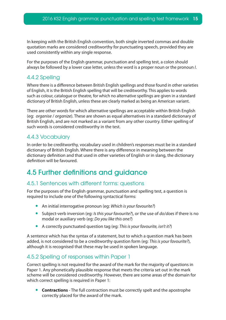<span id="page-14-0"></span>In keeping with the British English convention, both single inverted commas and double quotation marks are considered creditworthy for punctuating speech, provided they are used consistently within any single response.

For the purposes of the English grammar, punctuation and spelling test, a colon should always be followed by a lower case letter, unless the word is a proper noun or the pronoun *I*.

#### 4.4.2 Spelling

Where there is a difference between British English spellings and those found in other varieties of English, it is the British English spelling that will be creditworthy. This applies to words such as colour, catalogue or theatre, for which no alternative spellings are given in a standard dictionary of British English, unless these are clearly marked as being an American variant.

There are other words for which alternative spellings are acceptable within British English (eg: *organise* / *organize*). These are shown as equal alternatives in a standard dictionary of British English, and are not marked as a variant from any other country. Either spelling of such words is considered creditworthy in the test.

#### 4.4.3 Vocabulary

In order to be creditworthy, vocabulary used in children's responses must be in a standard dictionary of British English. Where there is any difference in meaning between the dictionary definition and that used in other varieties of English or in slang, the dictionary definition will be favoured.

## 4.5 Further definitions and guidance

#### 4.5.1 Sentences with different forms: questions

For the purposes of the English grammar, punctuation and spelling test, a question is required to include one of the following syntactical forms:

- • An initial interrogative pronoun (eg: *Which is your favourite?*)
- • Subject-verb inversion (eg: *Is this your favourite?*), or the use of *do*/*does* if there is no modal or auxiliary verb (eg: *Do you like this one?*)
- • A correctly punctuated question tag (eg: *This is your favourite, isn't it?*)

A sentence which has the syntax of a statement, but to which a question mark has been added, is not considered to be a creditworthy question form (eg: *This is your favourite?*), although it is recognised that these may be used in spoken language.

#### 4.5.2 Spelling of responses within Paper 1

Correct spelling is not required for the award of the mark for the majority of questions in Paper 1. Any phonetically plausible response that meets the criteria set out in the mark scheme will be considered creditworthy. However, there are some areas of the domain for which correct spelling is required in Paper 1:

**Contractions** - The full contraction must be correctly spelt and the apostrophe correctly placed for the award of the mark.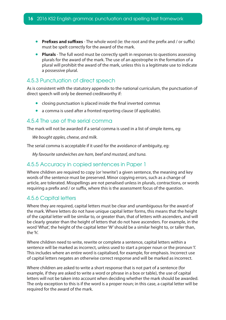- **Prefixes and suffixes** The whole word (ie: the root and the prefix and / or suffix) must be spelt correctly for the award of the mark.
- **Plurals** The full word must be correctly spelt in responses to questions assessing plurals for the award of the mark. The use of an apostrophe in the formation of a plural will prohibit the award of the mark, unless this is a legitimate use to indicate a possessive plural.

#### 4.5.3 Punctuation of direct speech

As is consistent with the statutory appendix to the national curriculum, the punctuation of direct speech will only be deemed creditworthy if:

- closing punctuation is placed inside the final inverted commas
- a comma is used after a fronted reporting clause (if applicable).

#### 4.5.4 The use of the serial comma

The mark will not be awarded if a serial comma is used in a list of simple items, eg:

*We bought apples, cheese, and milk.*

The serial comma is acceptable if it used for the avoidance of ambiguity, eg:

*My favourite sandwiches are ham, beef and mustard, and tuna.*

#### 4.5.5 Accuracy in copied sentences in Paper 1

Where children are required to copy (or 'rewrite') a given sentence, the meaning and key words of the sentence must be preserved. Minor copying errors, such as a change of article, are tolerated. Misspellings are not penalised unless in plurals, contractions, or words requiring a prefix and / or suffix, where this is the assessment focus of the question.

#### 4.5.6 Capital letters

Where they are required, capital letters must be clear and unambiguous for the award of the mark. Where letters do not have unique capital letter forms, this means that the height of the capital letter will be similar to, or greater than, that of letters with ascenders, and will be clearly greater than the height of letters that do not have ascenders. For example, in the word 'What', the height of the capital letter 'W' should be a similar height to, or taller than, the 'h'.

Where children need to write, rewrite or complete a sentence, capital letters within a sentence will be marked as incorrect, unless used to start a proper noun or the pronoun 'I'. This includes where an entire word is capitalised, for example, for emphasis. Incorrect use of capital letters negates an otherwise correct response and will be marked as incorrect.

Where children are asked to write a short response that is not part of a sentence (for example, if they are asked to write a word or phrase in a box or table), the use of capital letters will not be taken into account when deciding whether the mark should be awarded. The only exception to this is if the word is a proper noun; in this case, a capital letter will be required for the award of the mark.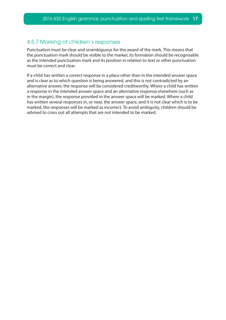#### 4.5.7 Marking of children's responses

Punctuation must be clear and unambiguous for the award of the mark. This means that the punctuation mark should be visible to the marker, its formation should be recognisable as the intended punctuation mark and its position in relation to text or other punctuation must be correct and clear.

If a child has written a correct response in a place other than in the intended answer space and is clear as to which question is being answered, and this is not contradicted by an alternative answer, the response will be considered creditworthy. Where a child has written a response in the intended answer space and an alternative response elsewhere (such as in the margin), the response provided in the answer space will be marked. Where a child has written several responses in, or near, the answer space, and it is not clear which is to be marked, the responses will be marked as incorrect. To avoid ambiguity, children should be advised to cross out all attempts that are not intended to be marked.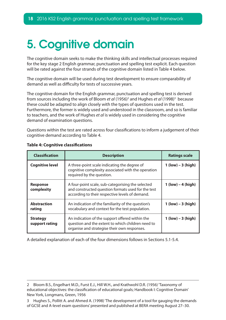# <span id="page-17-0"></span>5. Cognitive domain

The cognitive domain seeks to make the thinking skills and intellectual processes required for the key stage 2 English grammar, punctuation and spelling test explicit. Each question will be rated against the four strands of the cognitive domain listed in Table 4 below.

The cognitive domain will be used during test development to ensure comparability of demand as well as difficulty for tests of successive years.

The cognitive domain for the English grammar, punctuation and spelling test is derived from sources including the work of Bloom *et al* (1956)<sup>2</sup> and Hughes *et al* (1998)<sup>3</sup> because these could be adapted to align closely with the types of questions used in the test. Furthermore, the former is widely used and understood in the classroom, and so is familiar to teachers, and the work of Hughes *et al* is widely used in considering the cognitive demand of examination questions.

Questions within the test are rated across four classifications to inform a judgement of their cognitive demand according to Table 4.

| <b>Classification</b>             | <b>Description</b>                                                                                                                                         | <b>Ratings scale</b> |
|-----------------------------------|------------------------------------------------------------------------------------------------------------------------------------------------------------|----------------------|
| <b>Cognitive level</b>            | A three-point scale indicating the degree of<br>cognitive complexity associated with the operation<br>required by the question.                            | $1 (low) - 3 (high)$ |
| <b>Response</b><br>complexity     | A four-point scale, sub-categorising the selected<br>and constructed question formats used for the test<br>according to their respective levels of demand. | $1 (low) - 4 (high)$ |
| <b>Abstraction</b><br>rating      | An indication of the familiarity of the question's<br>vocabulary and context for the test population.                                                      | $1 (low) - 3 (high)$ |
| <b>Strategy</b><br>support rating | An indication of the support offered within the<br>question and the extent to which children need to<br>organise and strategise their own responses.       | $1 (low) - 3 (high)$ |

#### **Table 4: Cognitive classifications**

A detailed explanation of each of the four dimensions follows in Sections 5.1-5.4.

<sup>2</sup> Bloom B.S., Engelhart M.D., Furst E.J., Hill W.H., and Krathwohl D.R. (1956) 'Taxonomy of educational objectives: the classification of educational goals; Handbook I: Cognitive Domain' New York, Longmans, Green, 1956

<sup>3</sup> Hughes S., Pollitt A. and Ahmed A. (1998) 'The development of a tool for gauging the demands of GCSE and A-level exam questions' presented and published at BERA meeting August 27–30.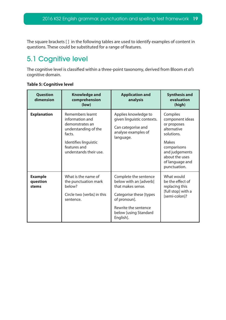<span id="page-18-0"></span>The square brackets [ ] in the following tables are used to identify examples of content in questions. These could be substituted for a range of features.

## 5.1 Cognitive level

The cognitive level is classified within a three-point taxonomy, derived from Bloom *et al's*  cognitive domain.

| <b>Question</b><br>dimension        | <b>Knowledge and</b><br>comprehension<br>(low)                                                                                                              | <b>Application and</b><br>analysis                                                                                                                                             | <b>Synthesis and</b><br>evaluation<br>(high)                                                                                                                                  |
|-------------------------------------|-------------------------------------------------------------------------------------------------------------------------------------------------------------|--------------------------------------------------------------------------------------------------------------------------------------------------------------------------------|-------------------------------------------------------------------------------------------------------------------------------------------------------------------------------|
| <b>Explanation</b>                  | Remembers learnt<br>information and<br>demonstrates an<br>understanding of the<br>facts.<br>Identifies linguistic<br>features and<br>understands their use. | Applies knowledge to<br>given linguistic contexts.<br>Can categorise and<br>analyse examples of<br>language.                                                                   | Compiles<br>component ideas<br>or proposes<br>alternative<br>solutions.<br><b>Makes</b><br>comparisons<br>and judgements<br>about the uses<br>of language and<br>punctuation. |
| <b>Example</b><br>question<br>stems | What is the name of<br>the punctuation mark<br>helow?<br>Circle two [verbs] in this<br>sentence.                                                            | Complete the sentence<br>below with an [adverb]<br>that makes sense.<br>Categorise these [types]<br>of pronoun].<br>Rewrite the sentence<br>below [using Standard<br>English]. | What would<br>be the effect of<br>replacing this<br>[full stop] with a<br>[semi-colon]?                                                                                       |

#### **Table 5: Cognitive level**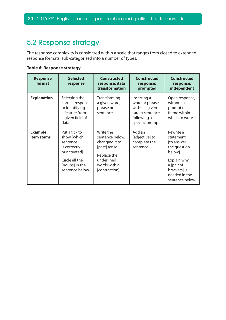## <span id="page-19-0"></span>5.2 Response strategy

The response complexity is considered within a scale that ranges from closed to extended response formats, sub-categorised into a number of types.

**Table 6: Response strategy**

| <b>Response</b><br>format    | <b>Selected</b><br>response                                                                                                     | <b>Constructed</b><br>response: data<br>transformation                                                                         | <b>Constructed</b><br>response:<br>prompted                                                            | <b>Constructed</b><br>response:<br>independent                                                                                                   |
|------------------------------|---------------------------------------------------------------------------------------------------------------------------------|--------------------------------------------------------------------------------------------------------------------------------|--------------------------------------------------------------------------------------------------------|--------------------------------------------------------------------------------------------------------------------------------------------------|
| <b>Explanation</b>           | Selecting the<br>correct response<br>or identifying<br>a feature from<br>a given field of<br>data.                              | Transforming<br>a given word,<br>phrase or<br>sentence.                                                                        | Inserting a<br>word or phrase<br>within a given<br>target sentence,<br>following a<br>specific prompt. | Open response,<br>without a<br>prompt or<br>frame within<br>which to write.                                                                      |
| <b>Example</b><br>item stems | Put a tick to<br>show [which<br>sentence<br>is correctly<br>punctuated].<br>Circle all the<br>[nouns] in the<br>sentence below. | Write the<br>sentence below,<br>changing it to<br>[past] tense.<br>Replace the<br>underlined<br>words with a<br>[contraction]. | Add an<br>[adjective] to<br>complete the<br>sentence.                                                  | Rewrite a<br>statement<br>[to answer<br>the question<br>below].<br>Explain why<br>a [pair of<br>brackets] is<br>needed in the<br>sentence below. |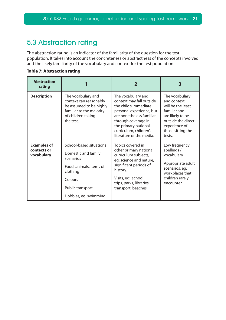## <span id="page-20-0"></span>5.3 Abstraction rating

The abstraction rating is an indicator of the familiarity of the question for the test population. It takes into account the concreteness or abstractness of the concepts involved and the likely familiarity of the vocabulary and context for the test population.

**Table 7: Abstraction rating**

| <b>Abstraction</b><br>rating                    |                                                                                                                                                            | 2                                                                                                                                                                                                                                    | З                                                                                                                                                            |
|-------------------------------------------------|------------------------------------------------------------------------------------------------------------------------------------------------------------|--------------------------------------------------------------------------------------------------------------------------------------------------------------------------------------------------------------------------------------|--------------------------------------------------------------------------------------------------------------------------------------------------------------|
| <b>Description</b>                              | The vocabulary and<br>context can reasonably<br>be assumed to be highly<br>familiar to the majority<br>of children taking<br>the test.                     | The vocabulary and<br>context may fall outside<br>the child's immediate<br>personal experience, but<br>are nonetheless familiar<br>through coverage in<br>the primary national<br>curriculum, children's<br>literature or the media. | The vocabulary<br>and context<br>will be the least<br>familiar and<br>are likely to be<br>outside the direct<br>experience of<br>those sitting the<br>tests. |
| <b>Examples of</b><br>contexts or<br>vocabulary | School-based situations<br>Domestic and family<br>scenarios<br>Food, animals, items of<br>clothing<br>Colours<br>Public transport<br>Hobbies, eg: swimming | Topics covered in<br>other primary national<br>curriculum subjects,<br>eg: science and nature,<br>significant periods of<br>history.<br>Visits, eg: school<br>trips, parks, libraries,<br>transport, beaches.                        | Low frequency<br>spellings /<br>vocabulary<br>Appropriate adult<br>scenarios, eg:<br>workplaces that<br>children rarely<br>encounter                         |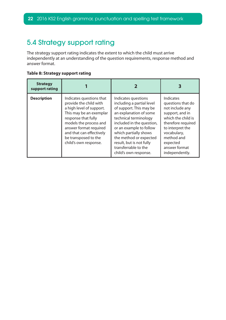## <span id="page-21-0"></span>5.4 Strategy support rating

The strategy support rating indicates the extent to which the child must arrive independently at an understanding of the question requirements, response method and answer format.

#### **Table 8: Strategy support rating**

| <b>Strategy</b><br>support rating |                                                                                                                                                                                                                                                                   |                                                                                                                                                                                                                                                                                                                        | З                                                                                                                                                                                                                |
|-----------------------------------|-------------------------------------------------------------------------------------------------------------------------------------------------------------------------------------------------------------------------------------------------------------------|------------------------------------------------------------------------------------------------------------------------------------------------------------------------------------------------------------------------------------------------------------------------------------------------------------------------|------------------------------------------------------------------------------------------------------------------------------------------------------------------------------------------------------------------|
| <b>Description</b>                | Indicates questions that<br>provide the child with<br>a high level of support.<br>This may be an exemplar<br>response that fully<br>models the process and<br>answer format required<br>and that can effectively<br>be transposed to the<br>child's own response. | Indicates questions<br>including a partial level<br>of support. This may be<br>an explanation of some<br>technical terminology<br>included in the question,<br>or an example to follow<br>which partially shows<br>the method or expected<br>result, but is not fully<br>transferrable to the<br>child's own response. | Indicates<br>questions that do<br>not include any<br>support, and in<br>which the child is<br>therefore required<br>to interpret the<br>vocabulary,<br>method and<br>expected<br>answer format<br>independently. |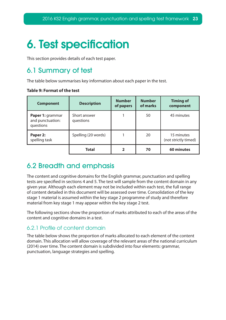# <span id="page-22-0"></span>6. Test specification

This section provides details of each test paper.

## 6.1 Summary of test

The table below summarises key information about each paper in the test.

| <b>Component</b>                                  | <b>Description</b>        | <b>Number</b><br>of papers | <b>Number</b><br>of marks | <b>Timing of</b><br>component      |
|---------------------------------------------------|---------------------------|----------------------------|---------------------------|------------------------------------|
| Paper 1: grammar<br>and punctuation:<br>questions | Short answer<br>questions |                            | 50                        | 45 minutes                         |
| Paper 2:<br>spelling task                         | Spelling (20 words)       |                            | 20                        | 15 minutes<br>(not strictly timed) |
|                                                   | <b>Total</b>              | $\mathbf{2}$               | 70                        | 60 minutes                         |

#### **Table 9: Format of the test**

## 6.2 Breadth and emphasis

The content and cognitive domains for the English grammar, punctuation and spelling tests are specified in sections 4 and 5. The test will sample from the content domain in any given year. Although each element may not be included within each test, the full range of content detailed in this document will be assessed over time. Consolidation of the key stage 1 material is assumed within the key stage 2 programme of study and therefore material from key stage 1 may appear within the key stage 2 test.

The following sections show the proportion of marks attributed to each of the areas of the content and cognitive domains in a test.

#### 6.2.1 Profile of content domain

The table below shows the proportion of marks allocated to each element of the content domain. This allocation will allow coverage of the relevant areas of the national curriculum (2014) over time. The content domain is subdivided into four elements: grammar, punctuation, language strategies and spelling.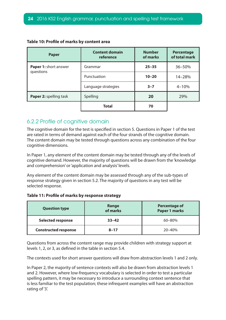| <b>Paper</b>                       | <b>Content domain</b><br>reference | <b>Number</b><br>of marks | <b>Percentage</b><br>of total mark |
|------------------------------------|------------------------------------|---------------------------|------------------------------------|
| Paper 1: short answer<br>questions | Grammar                            | $25 - 35$                 | 36-50%                             |
|                                    | Punctuation                        | $10 - 20$                 | 14-28%                             |
|                                    | Language strategies                | $3 - 7$                   | $4 - 10%$                          |
| Paper 2: spelling task             | Spelling                           | 20                        | 29%                                |
|                                    | <b>Total</b>                       | 70                        |                                    |

#### **Table 10: Profile of marks by content area**

#### 6.2.2 Profile of cognitive domain

The cognitive domain for the test is specified in section 5. Questions in Paper 1 of the test are rated in terms of demand against each of the four strands of the cognitive domain. The content domain may be tested through questions across any combination of the four cognitive dimensions.

In Paper 1, any element of the content domain may be tested through any of the levels of cognitive demand. However, the majority of questions will be drawn from the 'knowledge and comprehension' or 'application and analysis' levels.

Any element of the content domain may be assessed through any of the sub-types of response strategy given in section 5.2. The majority of questions in any test will be selected response.

#### **Table 11: Profile of marks by response strategy**

| <b>Question type</b>        | Range<br>of marks | <b>Percentage of</b><br><b>Paper 1 marks</b> |
|-----------------------------|-------------------|----------------------------------------------|
| <b>Selected response</b>    | $33 - 42$         | $60 - 80%$                                   |
| <b>Constructed response</b> | $8 - 17$          | $20 - 40%$                                   |

Questions from across the content range may provide children with strategy support at levels 1, 2, or 3, as defined in the table in section 5.4.

The contexts used for short answer questions will draw from abstraction levels 1 and 2 only.

In Paper 2, the majority of sentence contexts will also be drawn from abstraction levels 1 and 2. However, where low-frequency vocabulary is selected in order to test a particular spelling pattern, it may be necessary to introduce a surrounding context sentence that is less familiar to the test population; these infrequent examples will have an abstraction rating of '3'.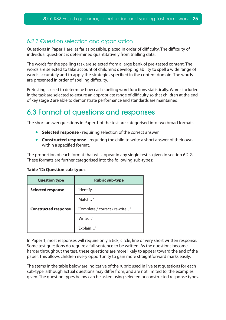#### <span id="page-24-0"></span>6.2.3 Question selection and organisation

Questions in Paper 1 are, as far as possible, placed in order of difficulty. The difficulty of individual questions is determined quantitatively from trialling data.

The words for the spelling task are selected from a large bank of pre-tested content. The words are selected to take account of children's developing ability to spell a wide range of words accurately and to apply the strategies specified in the content domain. The words are presented in order of spelling difficulty.

Pretesting is used to determine how each spelling word functions statistically. Words included in the task are selected to ensure an appropriate range of difficulty so that children at the end of key stage 2 are able to demonstrate performance and standards are maintained.

## 6.3 Format of questions and responses

The short answer questions in Paper 1 of the test are categorised into two broad formats:

- **Selected response** requiring selection of the correct answer
- **Constructed response** requiring the child to write a short answer of their own within a specified format.

The proportion of each format that will appear in any single test is given in section 6.2.2. These formats are further categorised into the following sub-types:

| <b>Question type</b>        | <b>Rubric sub-type</b>         |
|-----------------------------|--------------------------------|
| <b>Selected response</b>    | 'Identify'                     |
|                             | 'Match'                        |
| <b>Constructed response</b> | 'Complete / correct / rewrite' |
|                             | 'Write'                        |
|                             | 'Explain'                      |

#### **Table 12: Question sub-types**

In Paper 1, most responses will require only a tick, circle, line or very short written response. Some test questions do require a full sentence to be written. As the questions become harder throughout the test, these questions are more likely to appear toward the end of the paper. This allows children every opportunity to gain more straightforward marks easily.

The stems in the table below are indicative of the rubric used in live test questions for each sub-type, although actual questions may differ from, and are not limited to, the examples given. The question types below can be asked using selected or constructed response types.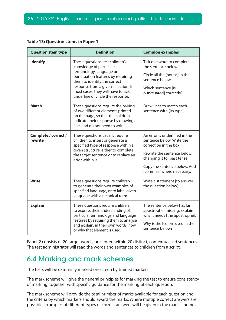| <b>Question stem type</b>                                                                                                                                                                                                                       | <b>Definition</b>                                                                                                                                                                                                                                                              | <b>Common examples</b>                                                                                                                                                                                           |
|-------------------------------------------------------------------------------------------------------------------------------------------------------------------------------------------------------------------------------------------------|--------------------------------------------------------------------------------------------------------------------------------------------------------------------------------------------------------------------------------------------------------------------------------|------------------------------------------------------------------------------------------------------------------------------------------------------------------------------------------------------------------|
| <b>Identify</b>                                                                                                                                                                                                                                 | These questions test children's<br>knowledge of particular<br>terminology, language or<br>punctuation features by requiring<br>them to identify the correct<br>response from a given selection. In<br>most cases, they will have to tick,<br>underline or circle the response. | Tick one word to complete<br>the sentence below.<br>Circle all the [nouns] in the<br>sentence below.<br>Which sentence [is<br>punctuated] correctly?                                                             |
| <b>Match</b>                                                                                                                                                                                                                                    | These questions require the pairing<br>of two different elements printed<br>on the page, so that the children<br>indicate their response by drawing a<br>line, and do not need to write.                                                                                       | Draw lines to match each<br>sentence with [its type].                                                                                                                                                            |
| Complete / correct /<br>rewrite                                                                                                                                                                                                                 | These questions usually require<br>children to insert or generate a<br>specified type of response within a<br>given structure, either to complete<br>the target sentence or to replace an<br>error within it.                                                                  | An error is underlined in the<br>sentence below. Write the<br>correction in the box.<br>Rewrite the sentence below,<br>changing it to [past tense].<br>Copy the sentence below. Add<br>[commas] where necessary. |
| <b>Write</b>                                                                                                                                                                                                                                    | These questions require children<br>to generate their own examples of<br>specified language, or to label given<br>language with a technical term.                                                                                                                              | Write a statement [to answer<br>the question below].                                                                                                                                                             |
| <b>Explain</b><br>These questions require children<br>to express their understanding of<br>particular terminology and language<br>features by requiring them to analyse<br>and explain, in their own words, how<br>or why that element is used. |                                                                                                                                                                                                                                                                                | The sentence below has [an<br>apostrophe] missing. Explain<br>why it needs [the apostrophe].<br>Why is the [colon] used in the<br>sentence below?                                                                |

<span id="page-25-0"></span>

|  |  | <b>Table 13: Question stems in Paper 1</b> |  |  |  |  |
|--|--|--------------------------------------------|--|--|--|--|
|--|--|--------------------------------------------|--|--|--|--|

Paper 2 consists of 20 target words, presented within 20 distinct, contextualised sentences. The test administrator will read the words and sentences to children from a script.

## 6.4 Marking and mark schemes

The tests will be externally marked on-screen by trained markers.

The mark scheme will give the general principles for marking the test to ensure consistency of marking, together with specific guidance for the marking of each question.

The mark scheme will provide the total number of marks available for each question and the criteria by which markers should award the marks. Where multiple correct answers are possible, examples of different types of correct answers will be given in the mark schemes.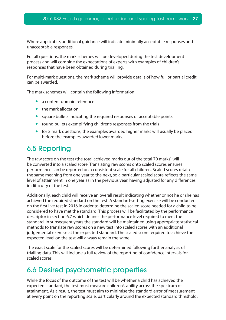<span id="page-26-0"></span>Where applicable, additional guidance will indicate minimally acceptable responses and unacceptable responses.

For all questions, the mark schemes will be developed during the test development process and will combine the expectations of experts with examples of children's responses that have been obtained during trialling.

For multi-mark questions, the mark scheme will provide details of how full or partial credit can be awarded.

The mark schemes will contain the following information:

- a content domain reference
- the mark allocation
- square bullets indicating the required responses or acceptable points
- round bullets exemplifying children's responses from the trials
- for 2 mark questions, the examples awarded higher marks will usually be placed before the examples awarded lower marks.

## 6.5 Reporting

The raw score on the test (the total achieved marks out of the total 70 marks) will be converted into a scaled score. Translating raw scores onto scaled scores ensures performance can be reported on a consistent scale for all children. Scaled scores retain the same meaning from one year to the next, so a particular scaled score reflects the same level of attainment in one year as in the previous year, having adjusted for any differences in difficulty of the test.

Additionally, each child will receive an overall result indicating whether or not he or she has achieved the required standard on the test. A standard-setting exercise will be conducted on the first live test in 2016 in order to determine the scaled score needed for a child to be considered to have met the standard. This process will be facilitated by the performance descriptor in section 6.7 which defines the performance level required to meet the standard. In subsequent years the standard will be maintained using appropriate statistical methods to translate raw scores on a new test into scaled scores with an additional judgemental exercise at the expected standard. The scaled score required to achieve the expected level on the test will always remain the same.

The exact scale for the scaled scores will be determined following further analysis of trialling data. This will include a full review of the reporting of confidence intervals for scaled scores.

## 6.6 Desired psychometric properties

While the focus of the outcome of the test will be whether a child has achieved the expected standard, the test must measure children's ability across the spectrum of attainment. As a result, the test must aim to minimise the standard error of measurement at every point on the reporting scale, particularly around the expected standard threshold.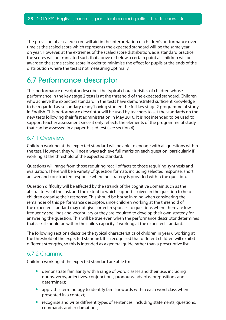<span id="page-27-0"></span>The provision of a scaled score will aid in the interpretation of children's performance over time as the scaled score which represents the expected standard will be the same year on year. However, at the extremes of the scaled score distribution, as is standard practice, the scores will be truncated such that above or below a certain point all children will be awarded the same scaled score in order to minimise the effect for pupils at the ends of the distribution where the test is not measuring optimally.

## 6.7 Performance descriptor

This performance descriptor describes the typical characteristics of children whose performance in the key stage 2 tests is at the threshold of the expected standard. Children who achieve the expected standard in the tests have demonstrated sufficient knowledge to be regarded as 'secondary ready' having studied the full key stage 2 programme of study in English. This performance descriptor will be used by teachers to set the standards on the new tests following their first administration in May 2016. It is not intended to be used to support teacher assessment since it only reflects the elements of the programme of study that can be assessed in a paper-based test (see section 4).

#### 6.7.1 Overview

Children working at the expected standard will be able to engage with all questions within the test. However, they will not always achieve full marks on each question, particularly if working at the threshold of the expected standard.

Questions will range from those requiring recall of facts to those requiring synthesis and evaluation. There will be a variety of question formats including selected response, short answer and constructed response where no strategy is provided within the question.

Question difficulty will be affected by the strands of the cognitive domain such as the abstractness of the task and the extent to which support is given in the question to help children organise their response. This should be borne in mind when considering the remainder of this performance descriptor, since children working at the threshold of the expected standard may not give correct responses to questions where there are low frequency spellings and vocabulary or they are required to develop their own strategy for answering the question. This will be true even when the performance descriptor determines that a skill should be within the child's capacity if working at the expected standard.

The following sections describe the typical characteristics of children in year 6 working at the threshold of the expected standard. It is recognised that different children will exhibit different strengths, so this is intended as a general guide rather than a prescriptive list.

#### 6.7.2 Grammar

Children working at the expected standard are able to:

- demonstrate familiarity with a range of word classes and their use, including nouns, verbs, adjectives, conjunctions, pronouns, adverbs, prepositions and determiners;
- apply this terminology to identify familiar words within each word class when presented in a context;
- recognise and write different types of sentences, including statements, questions, commands and exclamations;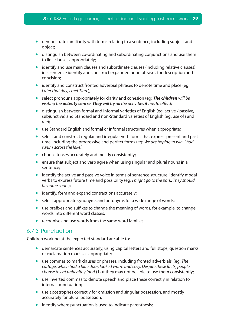- demonstrate familiarity with terms relating to a sentence, including subject and object;
- distinguish between co-ordinating and subordinating conjunctions and use them to link clauses appropriately;
- identify and use main clauses and subordinate clauses (including relative clauses) in a sentence identify and construct expanded noun phrases for description and concision;
- identify and construct fronted adverbial phrases to denote time and place (eg: *Later that day*, *I met Tina*.);
- select pronouns appropriately for clarity and cohesion (eq: **The children** will be *visiting the activity centre. They will try all the activities it has to offer*.);
- distinguish between formal and informal varieties of English (eg: active / passive, subjunctive) and Standard and non-Standard varieties of English (eg: use of *I* and *me*);
- use Standard English and formal or informal structures when appropriate;
- select and construct regular and irregular verb forms that express present and past time, including the progressive and perfect forms (eg: *We are hoping to win. I had swum across the lake*.);
- choose tenses accurately and mostly consistently;
- ensure that subject and verb agree when using singular and plural nouns in a sentence;
- identify the active and passive voice in terms of sentence structure; identify modal verbs to express future time and possibility (eg: *I might go to the park. They should be home soon*.);
- identify, form and expand contractions accurately;
- select appropriate synonyms and antonyms for a wide range of words;
- use prefixes and suffixes to change the meaning of words, for example, to change words into different word classes;
- recognise and use words from the same word families.

#### 6.7.3 Punctuation

Children working at the expected standard are able to:

- demarcate sentences accurately, using capital letters and full stops, question marks or exclamation marks as appropriate;
- • use commas to mark clauses or phrases, including fronted adverbials, (eg: *The cottage, which had a blue door, looked warm and cosy. Despite these facts, people choose to eat unhealthy food*.) but they may not be able to use them consistently;
- use inverted commas to denote speech and place these correctly in relation to internal punctuation;
- use apostrophes correctly for omission and singular possession, and mostly accurately for plural possession;
- identify where punctuation is used to indicate parenthesis;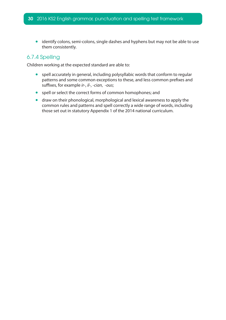• identify colons, semi-colons, single dashes and hyphens but may not be able to use them consistently.

#### 6.7.4 Spelling

Children working at the expected standard are able to:

- spell accurately in general, including polysyllabic words that conform to regular patterns and some common exceptions to these, and less common prefixes and suffixes, for example *ir-*, *il-*, *-cian*, *-ous*;
- spell or select the correct forms of common homophones; and
- draw on their phonological, morphological and lexical awareness to apply the common rules and patterns and spell correctly a wide range of words, including those set out in statutory Appendix 1 of the 2014 national curriculum.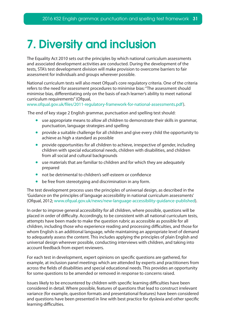## <span id="page-30-0"></span>7. Diversity and inclusion

The Equality Act 2010 sets out the principles by which national curriculum assessments and associated development activities are conducted. During the development of the tests, STA's test development division will make provision to overcome barriers to fair assessment for individuals and groups wherever possible.

National curriculum tests will also meet Ofqual's core regulatory criteria. One of the criteria refers to the need for assessment procedures to minimise bias: "The assessment should minimise bias, differentiating only on the basis of each learner's ability to meet national curriculum requirements" (Ofqual,

www.ofqual.gov.uk/files/2011-regulatory-framework-for-national-assessments.pdf).

The end of key stage 2 English grammar, punctuation and spelling test should:

- use appropriate means to allow all children to demonstrate their skills in grammar, punctuation, language strategies and spelling
- provide a suitable challenge for all children and give every child the opportunity to achieve as high a standard as possible
- provide opportunities for all children to achieve, irrespective of gender, including children with special educational needs, children with disabilities, and children from all social and cultural backgrounds
- use materials that are familiar to children and for which they are adequately prepared
- not be detrimental to children's self-esteem or confidence
- be free from stereotyping and discrimination in any form.

The test development process uses the principles of universal design, as described in the 'Guidance on the principles of language accessibility in national curriculum assessments' (Ofqual, 2012; www.ofqual.gov.uk/news/new-language-accessibility-guidance-published).

In order to improve general accessibility for all children, where possible, questions will be placed in order of difficulty. Accordingly, to be consistent with all national curriculum tests, attempts have been made to make the question rubric as accessible as possible for all children, including those who experience reading and processing difficulties, and those for whom English is an additional language, while maintaining an appropriate level of demand to adequately assess the content. This includes applying the principles of plain English and universal design wherever possible, conducting interviews with children, and taking into account feedback from expert reviewers.

For each test in development, expert opinions on specific questions are gathered, for example, at inclusion panel meetings which are attended by experts and practitioners from across the fields of disabilities and special educational needs. This provides an opportunity for some questions to be amended or removed in response to concerns raised.

Issues likely to be encountered by children with specific learning difficulties have been considered in detail. Where possible, features of questions that lead to construct irrelevant variance (for example, question formats and presentational features) have been considered and questions have been presented in line with best practice for dyslexia and other specific learning difficulties.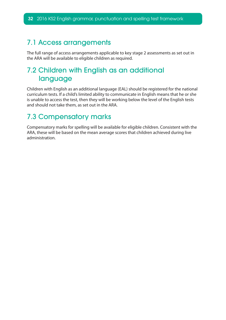### <span id="page-31-0"></span>7.1 Access arrangements

The full range of access arrangements applicable to key stage 2 assessments as set out in the ARA will be available to eligible children as required.

## 7.2 Children with English as an additional language

Children with English as an additional language (EAL) should be registered for the national curriculum tests. If a child's limited ability to communicate in English means that he or she is unable to access the test, then they will be working below the level of the English tests and should not take them, as set out in the ARA.

## 7.3 Compensatory marks

Compensatory marks for spelling will be available for eligible children. Consistent with the ARA, these will be based on the mean average scores that children achieved during live administration.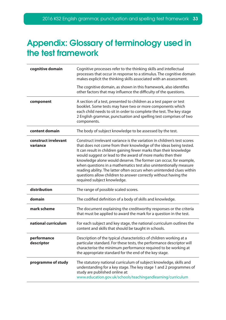## <span id="page-32-0"></span>Appendix: Glossary of terminology used in the test framework

| cognitive domain                 | Cognitive processes refer to the thinking skills and intellectual<br>processes that occur in response to a stimulus. The cognitive domain<br>makes explicit the thinking skills associated with an assessment.<br>The cognitive domain, as shown in this framework, also identifies<br>other factors that may influence the difficulty of the questions.                                                                                                                                                                                                                                                 |
|----------------------------------|----------------------------------------------------------------------------------------------------------------------------------------------------------------------------------------------------------------------------------------------------------------------------------------------------------------------------------------------------------------------------------------------------------------------------------------------------------------------------------------------------------------------------------------------------------------------------------------------------------|
| component                        | A section of a test, presented to children as a test paper or test<br>booklet. Some tests may have two or more components which<br>each child needs to sit in order to complete the test. The key stage<br>2 English grammar, punctuation and spelling test comprises of two<br>components.                                                                                                                                                                                                                                                                                                              |
| content domain                   | The body of subject knowledge to be assessed by the test.                                                                                                                                                                                                                                                                                                                                                                                                                                                                                                                                                |
| construct irrelevant<br>variance | Construct irrelevant variance is the variation in children's test scores<br>that does not come from their knowledge of the ideas being tested.<br>It can result in children gaining fewer marks than their knowledge<br>would suggest or lead to the award of more marks then their<br>knowledge alone would deserve. The former can occur, for example,<br>when questions in a mathematics test also unintentionally measure<br>reading ability. The latter often occurs when unintended clues within<br>questions allow children to answer correctly without having the<br>required subject knowledge. |
| distribution                     | The range of possible scaled scores.                                                                                                                                                                                                                                                                                                                                                                                                                                                                                                                                                                     |
| domain                           | The codified definition of a body of skills and knowledge.                                                                                                                                                                                                                                                                                                                                                                                                                                                                                                                                               |
| mark scheme                      | The document explaining the creditworthy responses or the criteria<br>that must be applied to award the mark for a question in the test.                                                                                                                                                                                                                                                                                                                                                                                                                                                                 |
| national curriculum              | For each subject and key stage, the national curriculum outlines the<br>content and skills that should be taught in schools.                                                                                                                                                                                                                                                                                                                                                                                                                                                                             |
| performance<br>descriptor        | Description of the typical characteristics of children working at a<br>particular standard. For these tests, the performance descriptor will<br>characterise the minimum performance required to be working at<br>the appropriate standard for the end of the key stage.                                                                                                                                                                                                                                                                                                                                 |
| programme of study               | The statutory national curriculum of subject knowledge, skills and<br>understanding for a key stage. The key stage 1 and 2 programmes of<br>study are published online at:<br>www.education.gov.uk/schools/teachingandlearning/curriculum                                                                                                                                                                                                                                                                                                                                                                |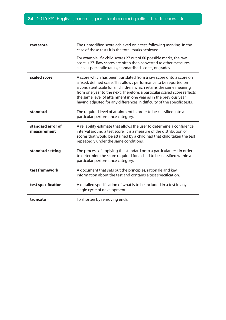| raw score                        | The unmodified score achieved on a test, following marking. In the<br>case of these tests it is the total marks achieved.                                                                                                                                                                                                                                                                                                                   |
|----------------------------------|---------------------------------------------------------------------------------------------------------------------------------------------------------------------------------------------------------------------------------------------------------------------------------------------------------------------------------------------------------------------------------------------------------------------------------------------|
|                                  | For example, if a child scores 27 out of 60 possible marks, the raw<br>score is 27. Raw scores are often then converted to other measures<br>such as percentile ranks, standardised scores, or grades.                                                                                                                                                                                                                                      |
| scaled score                     | A score which has been translated from a raw score onto a score on<br>a fixed, defined scale. This allows performance to be reported on<br>a consistent scale for all children, which retains the same meaning<br>from one year to the next. Therefore, a particular scaled score reflects<br>the same level of attainment in one year as in the previous year,<br>having adjusted for any differences in difficulty of the specific tests. |
| standard                         | The required level of attainment in order to be classified into a<br>particular performance category.                                                                                                                                                                                                                                                                                                                                       |
| standard error of<br>measurement | A reliability estimate that allows the user to determine a confidence<br>interval around a test score. It is a measure of the distribution of<br>scores that would be attained by a child had that child taken the test<br>repeatedly under the same conditions.                                                                                                                                                                            |
| standard setting                 | The process of applying the standard onto a particular test in order<br>to determine the score required for a child to be classified within a<br>particular performance category.                                                                                                                                                                                                                                                           |
| test framework                   | A document that sets out the principles, rationale and key<br>information about the test and contains a test specification.                                                                                                                                                                                                                                                                                                                 |
| test specification               | A detailed specification of what is to be included in a test in any<br>single cycle of development.                                                                                                                                                                                                                                                                                                                                         |
| truncate                         | To shorten by removing ends.                                                                                                                                                                                                                                                                                                                                                                                                                |